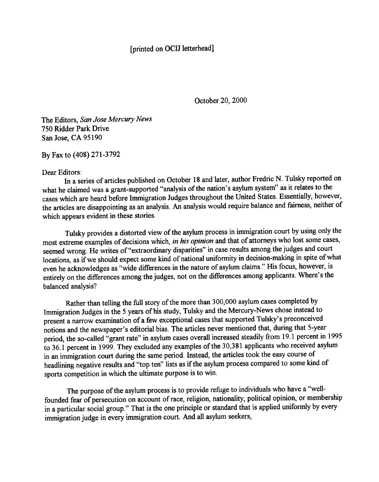## [printed on OCIJ letterhead]

October 20, 2000

The Editors, San Jose Mercury News 750 Ridder Park Drive San Jose, CA 95190

By Fax to (408) 271-3792

Dear Editors:

In a series of articles published on October 18 and later, author Fredric N. Tulsky reported on what he claimed was a grant-supported "analysis of the nation's asylum system" as it relates to the cases which are heard before Immigration Judges throughout the United States. Essentially, however, the articles are disappointing as an analysis. An analysis would require balance and fairness, neither of which appears evident in these stories.

Tulsky provides a distorted view of the asylum process in immigration court by using only the most extreme examples of decisions which, in his opinion and that of attorneys who lost some cases, seemed wrong. He writes of"extraordinary disparities" in case results among the judges and court locations, as if we should expect some kind of national uniformity in decision-making in spite of what even he acknowledges as "wide differences in the nature of asylum claims." His focus, however, is entirely on the differences among the judges, not on the differences among applicants. Where's the balanced analysis?

Rather than telling the full story of the more than 300,000 asylum cases completed by Immigration Judges in the 5 years of his study, Tulsky and the Mercury-News chose instead to present a narrow examination of a few exceptional cases that supported Tulsky's preconceived notions and the newspaper's editorial bias. The articles never mentioned that, during that 5-year period, the so-called "grant rate" in asylum cases overall increased steadily from 19.1 percent in 1995 to 36.1 percent in 1999. They excluded any examples of the 30,381 applicants who received asylum in an immigration court during the same period. Instead, the articles took the easy course of headlining negative results and "top ten" lists as if the asylum process compared to some kind of sports competition in which the ultimate purpose is to win.

The purpose of the asylum process is to provide refuge to individuals who have a "wellfounded fear of persecution on account of race, religion, nationality, political opinion, or membership in a particular social group." That is the one principle or standard that is applied uniformly by every immigration judge in every immigration court. And all asylum seekers,